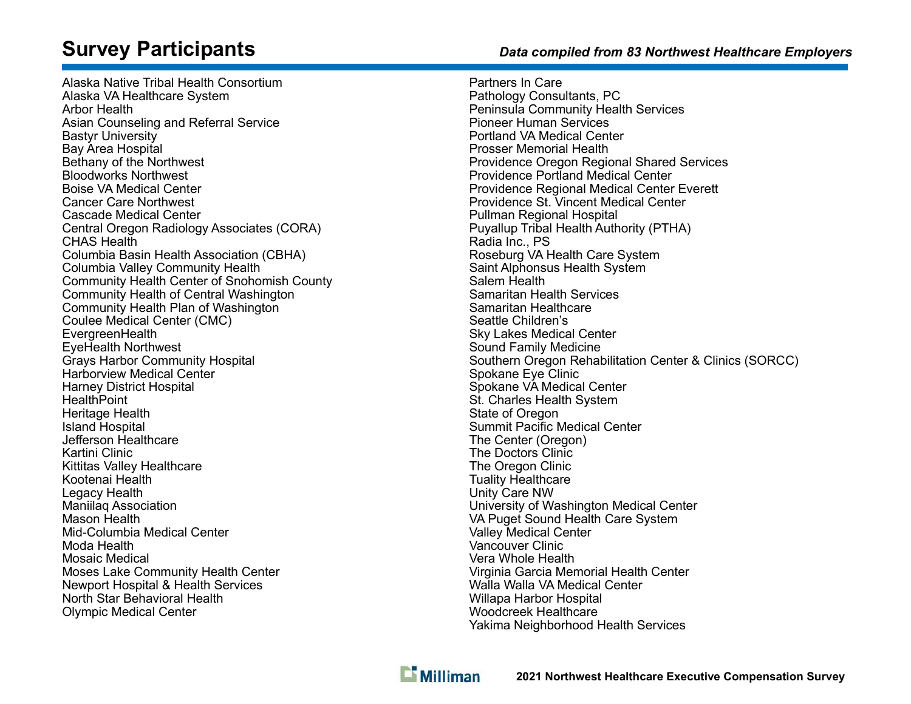# Survey Participants

Alaska Native Tribal Health Consortium Alaska VA Healthcare System Arbor Health Asian Counseling and Referral Service Bastyr University Bay Area Hospital Bethany of the Northwest Bloodworks Northwest Boise VA Medical Center Cancer Care Northwest Cascade Medical Center Central Oregon Radiology Associates (CORA) CHAS Health Columbia Basin Health Association (CBHA) Columbia Valley Community Health Community Health Center of Snohomish County Community Health of Central Washington Community Health Plan of Washington Coulee Medical Center (CMC) EvergreenHealth EyeHealth Northwest Grays Harbor Community Hospital Harborview Medical Center Harney District Hospital **HealthPoint** Heritage Health Island Hospital Jefferson Healthcare Kartini Clinic Kittitas Valley Healthcare Kootenai Health Legacy Health Maniilaq Association Mason Health Mid-Columbia Medical Center Moda Health Mosaic Medical Moses Lake Community Health Center Newport Hospital & Health Services North Star Behavioral Health Olympic Medical Center

## Data compiled from 83 Northwest Healthcare Employers

Partners In Care Pathology Consultants, PC Peninsula Community Health Services Pioneer Human Services Portland VA Medical Center Prosser Memorial Health Providence Oregon Regional Shared Services Providence Portland Medical Center Providence Regional Medical Center Everett Providence St. Vincent Medical Center Pullman Regional Hospital Puyallup Tribal Health Authority (PTHA) Radia Inc., PS Roseburg VA Health Care System Saint Alphonsus Health System Salem Health Samaritan Health Services Samaritan Healthcare Seattle Children's Sky Lakes Medical Center Sound Family Medicine Southern Oregon Rehabilitation Center & Clinics (SORCC) Spokane Eye Clinic Spokane VA Medical Center St. Charles Health System State of Oregon Summit Pacific Medical Center The Center (Oregon) The Doctors Clinic The Oregon Clinic Tuality Healthcare Unity Care NW University of Washington Medical Center VA Puget Sound Health Care System Valley Medical Center Vancouver Clinic Vera Whole Health Virginia Garcia Memorial Health Center Walla Walla VA Medical Center Willapa Harbor Hospital Woodcreek Healthcare Yakima Neighborhood Health Services

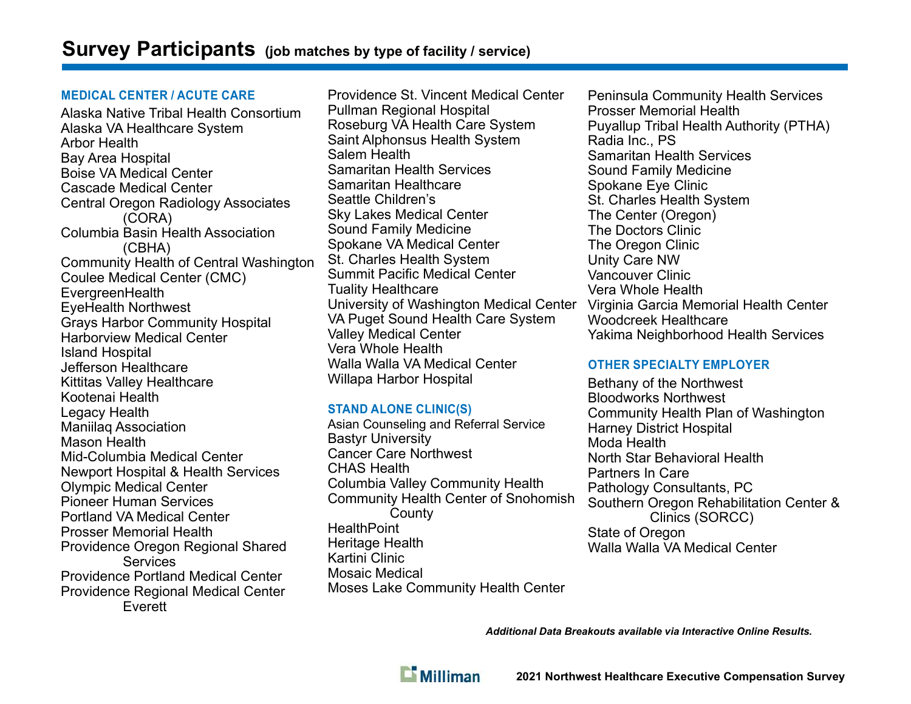#### MEDICAL CENTER / ACUTE CARE

Alaska Native Tribal Health Consortium Alaska VA Healthcare System Arbor Health Bay Area Hospital Boise VA Medical Center Cascade Medical Center Central Oregon Radiology Associates (CORA) Columbia Basin Health Association (CBHA) Community Health of Central Washington Coulee Medical Center (CMC) **EvergreenHealth** EyeHealth Northwest Grays Harbor Community Hospital Harborview Medical Center Island Hospital Jefferson Healthcare Kittitas Valley Healthcare Kootenai Health Legacy Health Maniilaq Association Mason Health Mid-Columbia Medical Center Newport Hospital & Health Services Olympic Medical Center Pioneer Human Services Portland VA Medical Center Prosser Memorial Health Providence Oregon Regional Shared Services Providence Portland Medical Center Providence Regional Medical Center Everett

Providence St. Vincent Medical Center Pullman Regional Hospital Roseburg VA Health Care System Saint Alphonsus Health System Salem Health Samaritan Health Services Samaritan Healthcare Seattle Children's Sky Lakes Medical Center Sound Family Medicine Spokane VA Medical Center St. Charles Health System Summit Pacific Medical Center Tuality Healthcare University of Washington Medical Center VA Puget Sound Health Care System Valley Medical Center Vera Whole Health Walla Walla VA Medical Center Willapa Harbor Hospital

## STAND ALONE CLINIC(S)

Asian Counseling and Referral Service Bastyr University Cancer Care Northwest CHAS Health Columbia Valley Community Health Community Health Center of Snohomish **County HealthPoint** Heritage Health Kartini Clinic Mosaic Medical Moses Lake Community Health Center

Peninsula Community Health Services Prosser Memorial Health Puyallup Tribal Health Authority (PTHA) Radia Inc., PS Samaritan Health Services Sound Family Medicine Spokane Eye Clinic St. Charles Health System The Center (Oregon) The Doctors Clinic The Oregon Clinic Unity Care NW Vancouver Clinic Vera Whole Health Virginia Garcia Memorial Health Center Woodcreek Healthcare Yakima Neighborhood Health Services

## OTHER SPECIALTY EMPLOYER

Bethany of the Northwest Bloodworks Northwest Community Health Plan of Washington Harney District Hospital Moda Health North Star Behavioral Health Partners In Care Pathology Consultants, PC Southern Oregon Rehabilitation Center & Clinics (SORCC) State of Oregon Walla Walla VA Medical Center

Additional Data Breakouts available via Interactive Online Results.